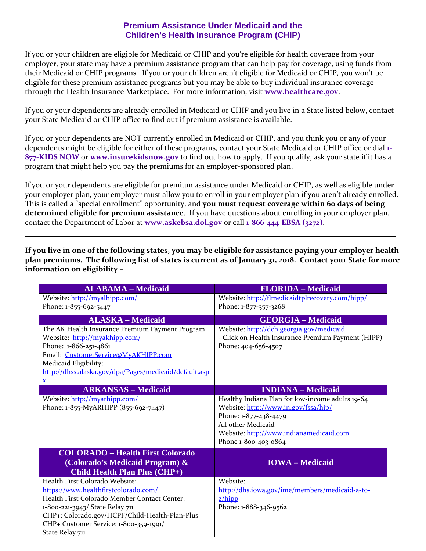## **Premium Assistance Under Medicaid and the Children's Health Insurance Program (CHIP)**

If you or your children are eligible for Medicaid or CHIP and you're eligible for health coverage from your employer, your state may have a premium assistance program that can help pay for coverage, using funds from their Medicaid or CHIP programs. If you or your children aren't eligible for Medicaid or CHIP, you won't be eligible for these premium assistance programs but you may be able to buy individual insurance coverage through the Health Insurance Marketplace. For more information, visit **[www.healthcare.gov](http://www.healthcare.gov/)**.

If you or your dependents are already enrolled in Medicaid or CHIP and you live in a State listed below, contact your State Medicaid or CHIP office to find out if premium assistance is available.

If you or your dependents are NOT currently enrolled in Medicaid or CHIP, and you think you or any of your dependents might be eligible for either of these programs, contact your State Medicaid or CHIP office or dial **1- 877-KIDS NOW** or **[www.insurekidsnow.gov](http://www.insurekidsnow.gov/)** to find out how to apply. If you qualify, ask your state if it has a program that might help you pay the premiums for an employer-sponsored plan.

If you or your dependents are eligible for premium assistance under Medicaid or CHIP, as well as eligible under your employer plan, your employer must allow you to enroll in your employer plan if you aren't already enrolled. This is called a "special enrollment" opportunity, and **you must request coverage within 60 days of being determined eligible for premium assistance**. If you have questions about enrolling in your employer plan, contact the Department of Labor at **[www.askebsa.dol.gov](http://www.askebsa.dol.gov/)** or call **1-866-444-EBSA (3272)**.

**If you live in one of the following states, you may be eligible for assistance paying your employer health plan premiums. The following list of states is current as of January 31, 2018. Contact your State for more information on eligibility –**

| <b>ALABAMA - Medicaid</b>                             | <b>FLORIDA</b> - Medicaid                          |
|-------------------------------------------------------|----------------------------------------------------|
| Website: http://myalhipp.com/                         | Website: http://flmedicaidtplrecovery.com/hipp/    |
| Phone: 1-855-692-5447                                 | Phone: 1-877-357-3268                              |
| <b>ALASKA - Medicaid</b>                              | <b>GEORGIA - Medicaid</b>                          |
| The AK Health Insurance Premium Payment Program       | Website: http://dch.georgia.gov/medicaid           |
| Website: http://myakhipp.com/                         | - Click on Health Insurance Premium Payment (HIPP) |
| Phone: 1-866-251-4861                                 | Phone: 404-656-4507                                |
| Email: CustomerService@MyAKHIPP.com                   |                                                    |
| Medicaid Eligibility:                                 |                                                    |
| http://dhss.alaska.gov/dpa/Pages/medicaid/default.asp |                                                    |
| $\mathbf{\underline{x}}$                              |                                                    |
| <b>ARKANSAS - Medicaid</b>                            | <b>INDIANA</b> – Medicaid                          |
| Website: http://myarhipp.com/                         | Healthy Indiana Plan for low-income adults 19-64   |
| Phone: 1-855-MyARHIPP (855-692-7447)                  | Website: http://www.in.gov/fssa/hip/               |
|                                                       | Phone: 1-877-438-4479                              |
|                                                       | All other Medicaid                                 |
|                                                       | Website: http://www.indianamedicaid.com            |
|                                                       | Phone 1-800-403-0864                               |
| <b>COLORADO - Health First Colorado</b>               |                                                    |
| (Colorado's Medicaid Program) &                       | <b>IOWA</b> – Medicaid                             |
| <b>Child Health Plan Plus (CHP+)</b>                  |                                                    |
| Health First Colorado Website:                        | Website:                                           |
| https://www.healthfirstcolorado.com/                  | http://dhs.iowa.gov/ime/members/medicaid-a-to-     |
| Health First Colorado Member Contact Center:          | $z/h$ ipp                                          |
| 1-800-221-3943/ State Relay 711                       | Phone: 1-888-346-9562                              |
| CHP+: Colorado.gov/HCPF/Child-Health-Plan-Plus        |                                                    |
| CHP+ Customer Service: 1-800-359-1991/                |                                                    |
| State Relay 711                                       |                                                    |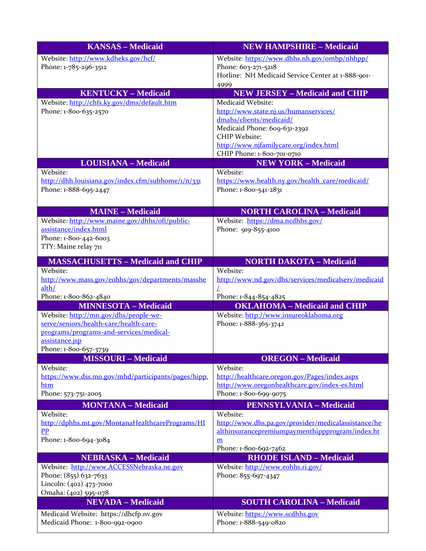| <b>KANSAS - Medicaid</b>                                            | <b>NEW HAMPSHIRE - Medicaid</b>                                                                        |
|---------------------------------------------------------------------|--------------------------------------------------------------------------------------------------------|
| Website: http://www.kdheks.gov/hcf/                                 | Website: https://www.dhhs.nh.gov/ombp/nhhpp/                                                           |
| Phone: 1-785-296-3512                                               | Phone: 603-271-5218                                                                                    |
|                                                                     | Hotline: NH Medicaid Service Center at 1-888-901-                                                      |
| <b>KENTUCKY - Medicaid</b>                                          | 4999<br><b>NEW JERSEY - Medicaid and CHIP</b>                                                          |
| Website: http://chfs.ky.gov/dms/default.htm                         | Medicaid Website:                                                                                      |
| Phone: 1-800-635-2570                                               | http://www.state.nj.us/humanservices/                                                                  |
|                                                                     | dmahs/clients/medicaid/                                                                                |
|                                                                     | Medicaid Phone: 609-631-2392                                                                           |
|                                                                     | <b>CHIP Website:</b>                                                                                   |
|                                                                     | http://www.njfamilycare.org/index.html<br>CHIP Phone: 1-800-701-0710                                   |
| <b>LOUISIANA - Medicaid</b>                                         | <b>NEW YORK - Medicaid</b>                                                                             |
| Website:                                                            | Website:                                                                                               |
| http://dhh.louisiana.gov/index.cfm/subhome/1/n/331                  | https://www.health.ny.gov/health_care/medicaid/                                                        |
| Phone: 1-888-695-2447                                               | Phone: 1-800-541-2831                                                                                  |
|                                                                     |                                                                                                        |
| <b>MAINE - Medicaid</b>                                             | <b>NORTH CAROLINA - Medicaid</b>                                                                       |
| Website: http://www.maine.gov/dhhs/ofi/public-                      | Website: https://dma.ncdhhs.gov/                                                                       |
| assistance/index.html                                               | Phone: 919-855-4100                                                                                    |
| Phone: 1-800-442-6003<br>TTY: Maine relay 711                       |                                                                                                        |
|                                                                     |                                                                                                        |
| <b>MASSACHUSETTS - Medicaid and CHIP</b>                            | <b>NORTH DAKOTA - Medicaid</b>                                                                         |
| Website:                                                            | Website:                                                                                               |
| http://www.mass.gov/eohhs/gov/departments/masshe<br>alth/           | http://www.nd.gov/dhs/services/medicalserv/medicaid                                                    |
| Phone: 1-800-862-4840                                               | Phone: 1-844-854-4825                                                                                  |
| <b>MINNESOTA - Medicaid</b>                                         | <b>OKLAHOMA - Medicaid and CHIP</b>                                                                    |
| Website: http://mn.gov/dhs/people-we-                               | Website: http://www.insureoklahoma.org                                                                 |
| serve/seniors/health-care/health-care-                              | Phone: 1-888-365-3742                                                                                  |
| programs/programs-and-services/medical-                             |                                                                                                        |
| assistance.jsp<br>Phone: 1-800-657-3739                             |                                                                                                        |
| <b>MISSOURI-Medicaid</b>                                            | <b>OREGON</b> - Medicaid                                                                               |
| Website:                                                            | Website:                                                                                               |
| https://www.dss.mo.gov/mhd/participants/pages/hipp.                 | http://healthcare.oregon.gov/Pages/index.aspx                                                          |
| htm                                                                 | http://www.oregonhealthcare.gov/index-es.html                                                          |
| Phone: 573-751-2005                                                 | Phone: 1-800-699-9075                                                                                  |
| <b>MONTANA - Medicaid</b>                                           | <b>PENNSYLVANIA - Medicaid</b>                                                                         |
| Website:                                                            | Website:                                                                                               |
| http://dphhs.mt.gov/MontanaHealthcarePrograms/HI<br>$\overline{PP}$ | http://www.dhs.pa.gov/provider/medicalassistance/he<br>althinsurancepremiumpaymenthippprogram/index.ht |
| Phone: 1-800-694-3084                                               | m                                                                                                      |
|                                                                     | Phone: 1-800-692-7462                                                                                  |
| <b>NEBRASKA - Medicaid</b>                                          | <b>RHODE ISLAND - Medicaid</b>                                                                         |
| Website: http://www.ACCESSNebraska.ne.gov                           | Website: http://www.eohhs.ri.gov/                                                                      |
| Phone: (855) 632-7633                                               | Phone: 855-697-4347                                                                                    |
| Lincoln: (402) 473-7000<br>Omaha: (402) 595-1178                    |                                                                                                        |
| <b>NEVADA</b> - Medicaid                                            | <b>SOUTH CAROLINA - Medicaid</b>                                                                       |
| Medicaid Website: https://dhcfp.nv.gov                              | Website: https://www.scdhhs.gov                                                                        |
| Medicaid Phone: 1-800-992-0900                                      | Phone: 1-888-549-0820                                                                                  |
|                                                                     |                                                                                                        |